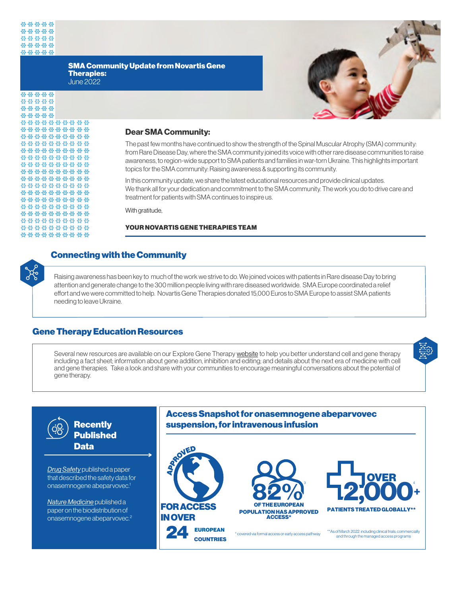#### SMA Community Update from Novartis Gene Therapies: June 2022



| *****      |
|------------|
| *****      |
| *****      |
| *****      |
| ********** |
| ********** |
| ********** |
| ********** |
| ********** |
| ********** |
| ********** |
| ********** |
| ********** |
| ********** |
| ********** |
| ********** |
| ********** |
| ********** |
| ********** |
| ********** |
|            |
| ********** |

## **Dear SMA Community:**

The past few months have continued to show the strength of the Spinal Muscular Atrophy (SMA) community: from Rare Disease Day, where the SMA community joined its voice with other rare disease communities to raise awareness, to region-wide support to SMA patients and families in war-torn Ukraine. This highlights important topics for the SMA community: Raising awareness & supporting its community.

In this community update, we share the latest educational resources and provide clinical updates. We thank all for your dedication and commitment to the SMA community. The work you do to drive care and treatment for patients with SMA continues to inspire us.

With gratitude,

### YOUR NOVARTIS GENE THERAPIES TEAM



# Connecting with the Community

Raising awareness has been key to much of the work we strive to do. We joined voices with patients in Rare disease Day to bring attention and generate change to the 300 million people living with rare diseased worldwide. SMA Europe coordinated a relief effort and we were committed to help. Novartis Gene Therapies donated 15,000 Euros to SMA Europe to assist SMA patients needing to leave Ukraine.

# Gene Therapy Education Resources

Several new resources are available on our Explore Gene Therapy [website](https://www.exploregenetherapy.com/) to help you better understand cell and gene therapy including a fact sheet; information about gene addition, inhibition and editing; and details about the next era of medicine with cell and gene therapies. Take a look and share with your communities to encourage meaningful conversations about the potential of gene therapy.